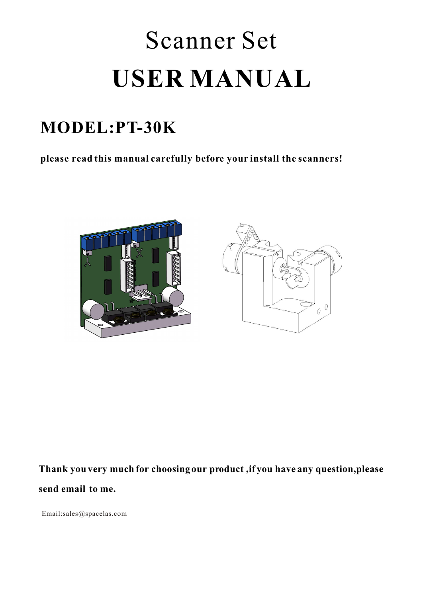# Scanner Set **USER MANUAL**

# **MODEL:PT-30K**

**please read this manual carefully before your install the scanners!**





**Thank you very much for choosing our product ,if you have any question,please send email to me.** 

Email:sales@spacelas.com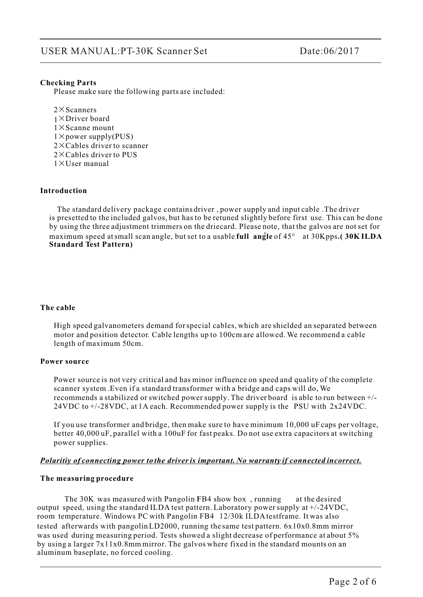#### **Checking Parts**

Please make sure the following parts are included:

 $2 \times$ Scanners  $1 \times$ Driver board  $1 \times$ Scanne mount  $1 \times$  power supply(PUS)  $2 \times$ Cables driver to scanner  $2 \times$ Cables driver to PUS  $1 \times$ User manual

#### **Introduction**

 The standard delivery package contains driver , power supply and input cable .The driver is presetted to the included galvos, but has to be retuned slightly before first use. This can be done by using the three adjustment trimmers on the driecard. Please note, that the galvos are not set for maximum speed atsmall scan angle, but set to a usable **full angle** of 45° at 30Kpps**.( 30K ILDA Standard Test Pattern)**

#### **The cable**

High speed galvanometers demand for special cables, which are shielded an separated between motor and position detector. Cable lengths up to 100cm are allowed. We recommend a cable length of maximum 50cm.

#### **Power source**

Power source is not very critical and has minor influence on speed and quality of the complete scanner system .Even if a standard transformer with a bridge and caps will do, We recommends a stabilized or switched power supply. The driver board is able to run between +/- 24VDC to +/-28VDC, at 1A each. Recommended power supply is the PSU with 2x24VDC.

 If you use transformer and bridge, then make sure to have minimum 10,000 uF caps per voltage, better 40,000 uF, parallel with a 100uF for fast peaks. Do not use extra capacitors at switching power supplies.

#### *Polaritiy of connecting power to the driver is important. No warranty if connected incorrect.*

#### **The measuring procedure**

The  $30K$  was measured with Pangolin FB4 show box, running at the desired output speed, using the standard ILDA test pattern. Laboratory power supply at +/-24VDC, room temperature. Windows PC with Pangolin FB4 12/30k ILDA testframe. It was also tested afterwards with pangolinLD2000, running the same test pattern. 6x10x0.8mm mirror was used during measuring period. Tests showed a slight decrease of performance at about 5% by using a larger 7x11x0.8mm mirror. The galvos where fixed in the standard mounts on an aluminum baseplate, no forced cooling.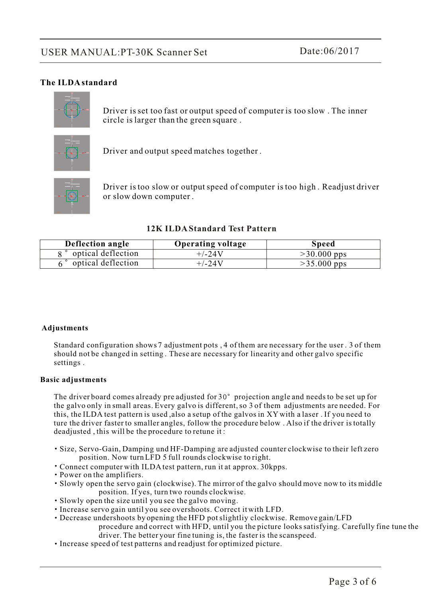#### **The ILDA standard**



Driver is set too fast or output speed of computer is too slow . The inner circle is larger than the green square .



Driver and output speed matches together .



Driver is too slow or output speed of computer is too high . Readjust driver or slow down computer .

#### **12K ILDA Standard Test Pattern**

| Deflection angle   | <b>Operating voltage</b> | <b>Speed</b>  |
|--------------------|--------------------------|---------------|
| optical deflection | $+/-24V$                 | $>30.000$ pps |
| optical deflection | $+/-24V$                 | $>35.000$ pps |

#### **Adjustments**

 Standard configuration shows 7 adjustment pots , 4 of them are necessary for the user . 3 of them should not be changed in setting . These are necessary for linearity and other galvo specific settings .

#### **Basic adjustments**

The driver board comes already pre adjusted for  $30^{\circ}$  projection angle and needs to be set up for the galvo only in small areas. Every galvo is different, so 3 of them adjustments are needed. For this, the ILDA test pattern is used ,also a setup of the galvos in XY with a laser . If you need to ture the driver faster to smaller angles, follow the procedure below . Also if the driver is totally deadjusted , this will be the procedure to retune it :

- Size, Servo-Gain, Damping und HF-Damping are adjusted counter clockwise to their left zero position. Now turnLFD 5 full rounds clockwise to right.
- Connect computer with ILDA test pattern, run it at approx. 30kpps.
- Power on the amplifiers.
- Slowly open the servo gain (clockwise). The mirror of the galvo should move now to its middle position. If yes, turn two rounds clockwise.
- Slowly open the size until you see the galvo moving.
- Increase servo gain until you see overshoots. Correct it with LFD.
- Decrease undershoots by opening the HFD pot slightliy clockwise. Remove gain/LFD

 procedure and correct with HFD, until you the picture looks satisfying. Carefully fine tune the driver. The better your fine tuning is, the faster is the scanspeed.

Increase speed of test patterns and readjust for optimized picture.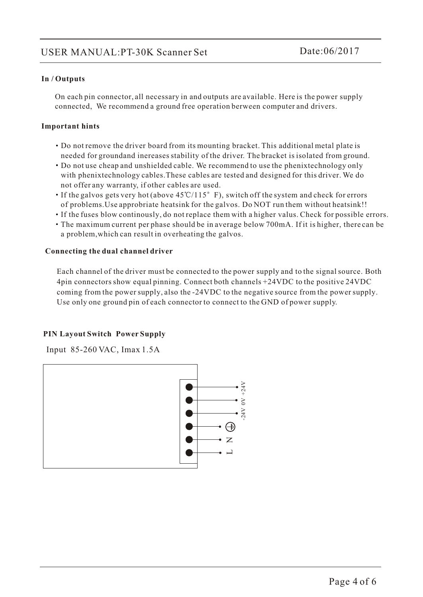#### **In / Outputs**

 On each pin connector, all necessary in and outputs are available. Here is the power supply connected, We recommend a ground free operation berween computer and drivers.

#### **Important hints**

- Do not remove the driver board from its mounting bracket. This additional metal plate is needed for groundand inereases stability of the driver. The bracket is isolated from ground.
- Do not use cheap and unshielded cable. We recommend to use the phenixtechnology only with phenixtechnology cables.These cables are tested and designed for this driver. We do not offer any warranty, if other cables are used.
- If the galvos gets very hot (above  $45^{\circ}$ C/115° F), switch off the system and check for errors of problems.Use approbriate heatsink for the galvos. Do NOT run them without heatsink!!
- If the fuses blow continously, do not replace them with a higher valus. Check for possible errors.
- The maximum current per phase should be in average below 700mA. If it is higher, there can be a problem,which can result in overheating the galvos.

#### **Connecting the dual channel driver**

 Each channel of the driver must be connected to the power supply and to the signal source. Both 4pin connectors show equal pinning. Connect both channels +24VDC to the positive 24VDC coming from the power supply, also the -24VDC to the negative source from the power supply. Use only one ground pin of each connector to connect to the GND of power supply.

#### **PIN Layout Switch Power Supply**

Input 85-260 VAC, Imax 1.5A

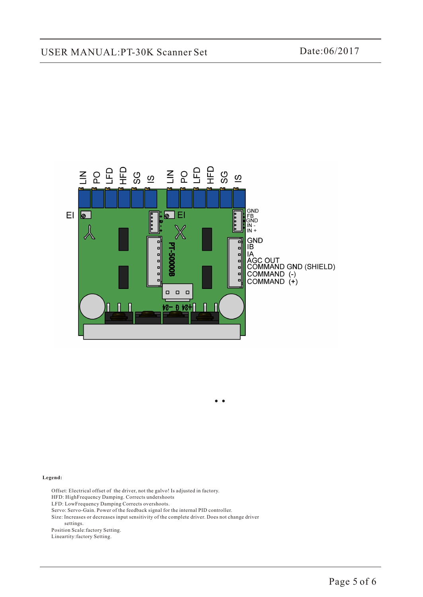## USER MANUAL:PT-30K Scanner Set Date:06/2017



#### **Legend:**

 Offset: Electrical offset of the driver, not the galvo! Is adjusted in factory. HFD: HighFrequency Damping. Corrects undershoots LFD: LowFrequency Damping Corrects overshoots. Servo: Servo-Gain. Power of the feedback signal for the internal PID controller. Size: Increases or decreases input sensitivity of the complete driver. Does not change driver settings. Position Scale:factory Setting. Lineartity:factory Setting.